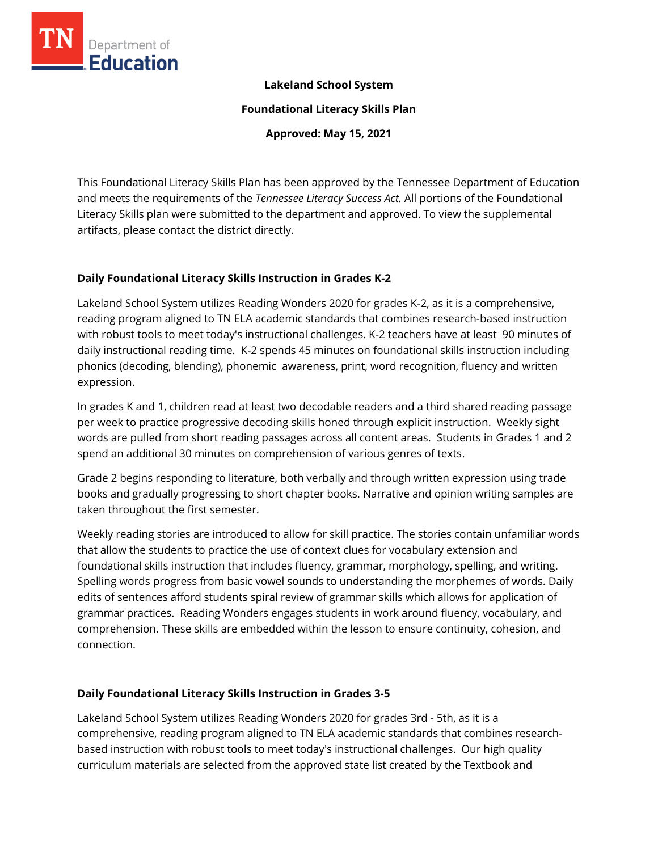

## **Lakeland School System**

**Foundational Literacy Skills Plan**

**Approved: May 15, 2021**

This Foundational Literacy Skills Plan has been approved by the Tennessee Department of Education and meets the requirements of the *Tennessee Literacy Success Act.* All portions of the Foundational Literacy Skills plan were submitted to the department and approved. To view the supplemental artifacts, please contact the district directly.

## **Daily Foundational Literacy Skills Instruction in Grades K-2**

Lakeland School System utilizes Reading Wonders 2020 for grades K-2, as it is a comprehensive, reading program aligned to TN ELA academic standards that combines research-based instruction with robust tools to meet today's instructional challenges. K-2 teachers have at least 90 minutes of daily instructional reading time. K-2 spends 45 minutes on foundational skills instruction including phonics (decoding, blending), phonemic awareness, print, word recognition, fluency and written expression.

In grades K and 1, children read at least two decodable readers and a third shared reading passage per week to practice progressive decoding skills honed through explicit instruction. Weekly sight words are pulled from short reading passages across all content areas. Students in Grades 1 and 2 spend an additional 30 minutes on comprehension of various genres of texts.

Grade 2 begins responding to literature, both verbally and through written expression using trade books and gradually progressing to short chapter books. Narrative and opinion writing samples are taken throughout the first semester.

Weekly reading stories are introduced to allow for skill practice. The stories contain unfamiliar words that allow the students to practice the use of context clues for vocabulary extension and foundational skills instruction that includes fluency, grammar, morphology, spelling, and writing. Spelling words progress from basic vowel sounds to understanding the morphemes of words. Daily edits of sentences afford students spiral review of grammar skills which allows for application of grammar practices. Reading Wonders engages students in work around fluency, vocabulary, and comprehension. These skills are embedded within the lesson to ensure continuity, cohesion, and connection.

## **Daily Foundational Literacy Skills Instruction in Grades 3-5**

Lakeland School System utilizes Reading Wonders 2020 for grades 3rd - 5th, as it is a comprehensive, reading program aligned to TN ELA academic standards that combines researchbased instruction with robust tools to meet today's instructional challenges. Our high quality curriculum materials are selected from the approved state list created by the Textbook and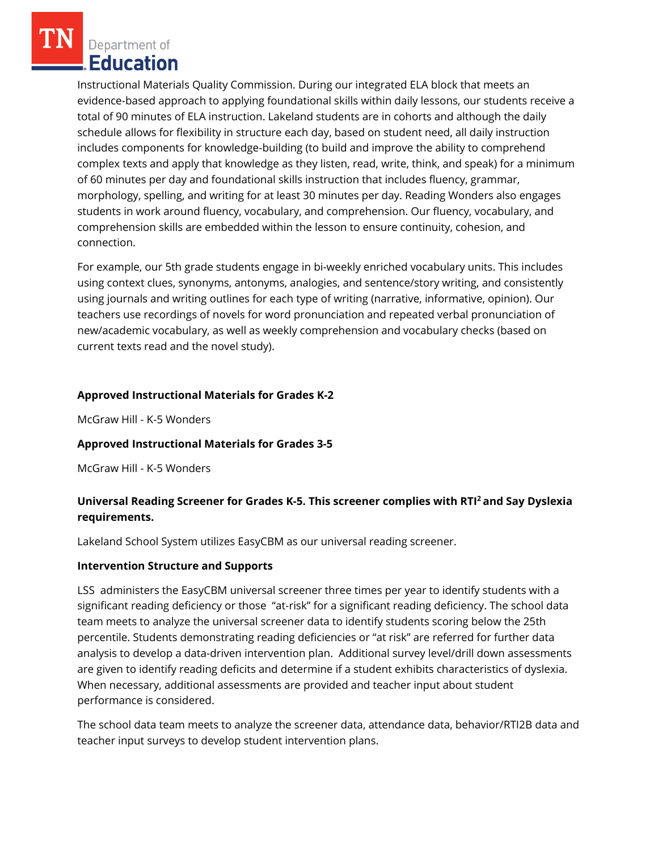Department of Education

Instructional Materials Quality Commission. During our integrated ELA block that meets an evidence-based approach to applying foundational skills within daily lessons, our students receive a total of 90 minutes of ELA instruction. Lakeland students are in cohorts and although the daily schedule allows for flexibility in structure each day, based on student need, all daily instruction includes components for knowledge-building (to build and improve the ability to comprehend complex texts and apply that knowledge as they listen, read, write, think, and speak) for a minimum of 60 minutes per day and foundational skills instruction that includes fluency, grammar, morphology, spelling, and writing for at least 30 minutes per day. Reading Wonders also engages students in work around fluency, vocabulary, and comprehension. Our fluency, vocabulary, and comprehension skills are embedded within the lesson to ensure continuity, cohesion, and connection.

For example, our 5th grade students engage in bi-weekly enriched vocabulary units. This includes using context clues, synonyms, antonyms, analogies, and sentence/story writing, and consistently using journals and writing outlines for each type of writing (narrative, informative, opinion). Our teachers use recordings of novels for word pronunciation and repeated verbal pronunciation of new/academic vocabulary, as well as weekly comprehension and vocabulary checks (based on current texts read and the novel study).

## **Approved Instructional Materials for Grades K-2**

McGraw Hill - K-5 Wonders

## **Approved Instructional Materials for Grades 3-5**

McGraw Hill - K-5 Wonders

# **Universal Reading Screener for Grades K-5. This screener complies with RTI<sup>2</sup>and Say Dyslexia requirements.**

Lakeland School System utilizes EasyCBM as our universal reading screener.

## **Intervention Structure and Supports**

LSS administers the EasyCBM universal screener three times per year to identify students with a significant reading deficiency or those "at-risk" for a significant reading deficiency. The school data team meets to analyze the universal screener data to identify students scoring below the 25th percentile. Students demonstrating reading deficiencies or "at risk" are referred for further data analysis to develop a data-driven intervention plan. Additional survey level/drill down assessments are given to identify reading deficits and determine if a student exhibits characteristics of dyslexia. When necessary, additional assessments are provided and teacher input about student performance is considered.

The school data team meets to analyze the screener data, attendance data, behavior/RTI2B data and teacher input surveys to develop student intervention plans.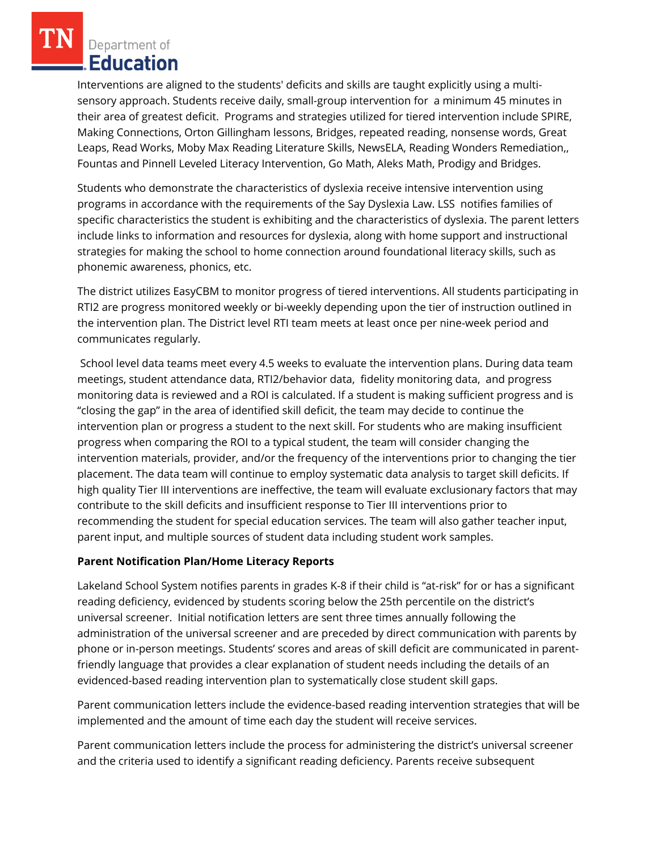Department of Education

Interventions are aligned to the students' deficits and skills are taught explicitly using a multisensory approach. Students receive daily, small-group intervention for a minimum 45 minutes in their area of greatest deficit. Programs and strategies utilized for tiered intervention include SPIRE, Making Connections, Orton Gillingham lessons, Bridges, repeated reading, nonsense words, Great Leaps, Read Works, Moby Max Reading Literature Skills, NewsELA, Reading Wonders Remediation,, Fountas and Pinnell Leveled Literacy Intervention, Go Math, Aleks Math, Prodigy and Bridges.

Students who demonstrate the characteristics of dyslexia receive intensive intervention using programs in accordance with the requirements of the Say Dyslexia Law. LSS notifies families of specific characteristics the student is exhibiting and the characteristics of dyslexia. The parent letters include links to information and resources for dyslexia, along with home support and instructional strategies for making the school to home connection around foundational literacy skills, such as phonemic awareness, phonics, etc.

The district utilizes EasyCBM to monitor progress of tiered interventions. All students participating in RTI2 are progress monitored weekly or bi-weekly depending upon the tier of instruction outlined in the intervention plan. The District level RTI team meets at least once per nine-week period and communicates regularly.

School level data teams meet every 4.5 weeks to evaluate the intervention plans. During data team meetings, student attendance data, RTI2/behavior data, fidelity monitoring data, and progress monitoring data is reviewed and a ROI is calculated. If a student is making sufficient progress and is "closing the gap" in the area of identified skill deficit, the team may decide to continue the intervention plan or progress a student to the next skill. For students who are making insufficient progress when comparing the ROI to a typical student, the team will consider changing the intervention materials, provider, and/or the frequency of the interventions prior to changing the tier placement. The data team will continue to employ systematic data analysis to target skill deficits. If high quality Tier III interventions are ineffective, the team will evaluate exclusionary factors that may contribute to the skill deficits and insufficient response to Tier III interventions prior to recommending the student for special education services. The team will also gather teacher input, parent input, and multiple sources of student data including student work samples.

## **Parent Notification Plan/Home Literacy Reports**

Lakeland School System notifies parents in grades K-8 if their child is "at-risk" for or has a significant reading deficiency, evidenced by students scoring below the 25th percentile on the district's universal screener. Initial notification letters are sent three times annually following the administration of the universal screener and are preceded by direct communication with parents by phone or in-person meetings. Students' scores and areas of skill deficit are communicated in parentfriendly language that provides a clear explanation of student needs including the details of an evidenced-based reading intervention plan to systematically close student skill gaps.

Parent communication letters include the evidence-based reading intervention strategies that will be implemented and the amount of time each day the student will receive services.

Parent communication letters include the process for administering the district's universal screener and the criteria used to identify a significant reading deficiency. Parents receive subsequent